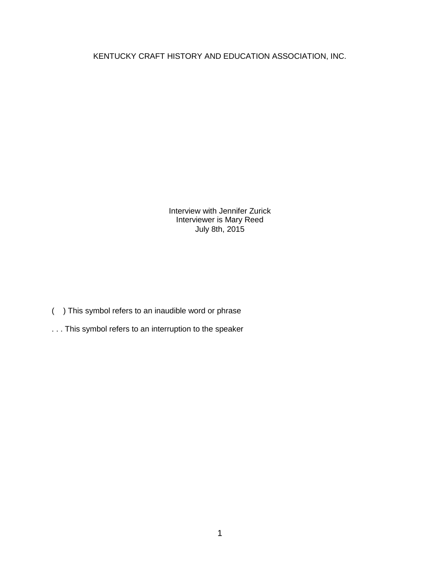KENTUCKY CRAFT HISTORY AND EDUCATION ASSOCIATION, INC.

Interview with Jennifer Zurick Interviewer is Mary Reed July 8th, 2015

- ( ) This symbol refers to an inaudible word or phrase
- . . . This symbol refers to an interruption to the speaker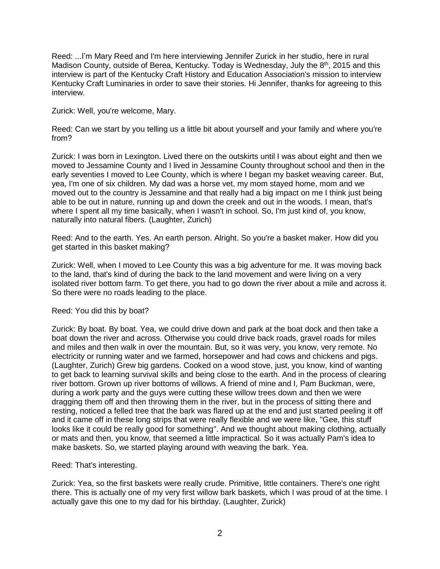Reed: ...I'm Mary Reed and I'm here interviewing Jennifer Zurick in her studio, here in rural Madison County, outside of Berea, Kentucky. Today is Wednesday, July the 8<sup>th</sup>, 2015 and this interview is part of the Kentucky Craft History and Education Association's mission to interview Kentucky Craft Luminaries in order to save their stories. Hi Jennifer, thanks for agreeing to this interview.

Zurick: Well, you're welcome, Mary.

Reed: Can we start by you telling us a little bit about yourself and your family and where you're from?

Zurick: I was born in Lexington. Lived there on the outskirts until I was about eight and then we moved to Jessamine County and I lived in Jessamine County throughout school and then in the early seventies I moved to Lee County, which is where I began my basket weaving career. But, yea, I'm one of six children. My dad was a horse vet, my mom stayed home, mom and we moved out to the country is Jessamine and that really had a big impact on me I think just being able to be out in nature, running up and down the creek and out in the woods. I mean, that's where I spent all my time basically, when I wasn't in school. So, I'm just kind of, you know, naturally into natural fibers. (Laughter, Zurich)

Reed: And to the earth. Yes. An earth person. Alright. So you're a basket maker. How did you get started in this basket making?

Zurick: Well, when I moved to Lee County this was a big adventure for me. It was moving back to the land, that's kind of during the back to the land movement and were living on a very isolated river bottom farm. To get there, you had to go down the river about a mile and across it. So there were no roads leading to the place.

Reed: You did this by boat?

Zurick: By boat. By boat. Yea, we could drive down and park at the boat dock and then take a boat down the river and across. Otherwise you could drive back roads, gravel roads for miles and miles and then walk in over the mountain. But, so it was very, you know, very remote. No electricity or running water and we farmed, horsepower and had cows and chickens and pigs. (Laughter, Zurich) Grew big gardens. Cooked on a wood stove, just, you know, kind of wanting to get back to learning survival skills and being close to the earth. And in the process of clearing river bottom. Grown up river bottoms of willows. A friend of mine and I, Pam Buckman, were, during a work party and the guys were cutting these willow trees down and then we were dragging them off and then throwing them in the river, but in the process of sitting there and resting, noticed a felled tree that the bark was flared up at the end and just started peeling it off and it came off in these long strips that were really flexible and we were like, "Gee, this stuff looks like it could be really good for something". And we thought about making clothing, actually or mats and then, you know, that seemed a little impractical. So it was actually Pam's idea to make baskets. So, we started playing around with weaving the bark. Yea.

Reed: That's interesting.

Zurick: Yea, so the first baskets were really crude. Primitive, little containers. There's one right there. This is actually one of my very first willow bark baskets, which I was proud of at the time. I actually gave this one to my dad for his birthday. (Laughter, Zurick)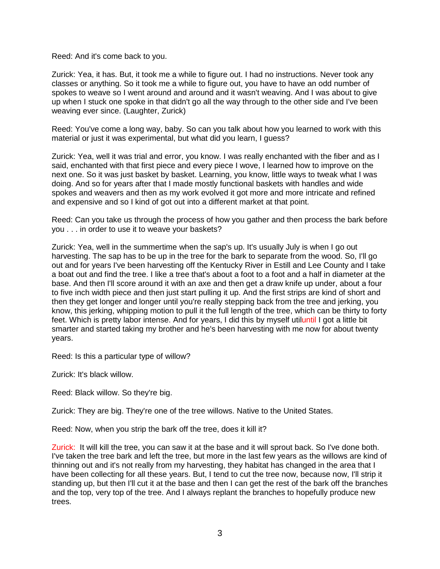Reed: And it's come back to you.

Zurick: Yea, it has. But, it took me a while to figure out. I had no instructions. Never took any classes or anything. So it took me a while to figure out, you have to have an odd number of spokes to weave so I went around and around and it wasn't weaving. And I was about to give up when I stuck one spoke in that didn't go all the way through to the other side and I've been weaving ever since. (Laughter, Zurick)

Reed: You've come a long way, baby. So can you talk about how you learned to work with this material or just it was experimental, but what did you learn, I guess?

Zurick: Yea, well it was trial and error, you know. I was really enchanted with the fiber and as I said, enchanted with that first piece and every piece I wove, I learned how to improve on the next one. So it was just basket by basket. Learning, you know, little ways to tweak what I was doing. And so for years after that I made mostly functional baskets with handles and wide spokes and weavers and then as my work evolved it got more and more intricate and refined and expensive and so I kind of got out into a different market at that point.

Reed: Can you take us through the process of how you gather and then process the bark before you . . . in order to use it to weave your baskets?

Zurick: Yea, well in the summertime when the sap's up. It's usually July is when I go out harvesting. The sap has to be up in the tree for the bark to separate from the wood. So, I'll go out and for years I've been harvesting off the Kentucky River in Estill and Lee County and I take a boat out and find the tree. I like a tree that's about a foot to a foot and a half in diameter at the base. And then I'll score around it with an axe and then get a draw knife up under, about a four to five inch width piece and then just start pulling it up. And the first strips are kind of short and then they get longer and longer until you're really stepping back from the tree and jerking, you know, this jerking, whipping motion to pull it the full length of the tree, which can be thirty to forty feet. Which is pretty labor intense. And for years, I did this by myself utiluntil I got a little bit smarter and started taking my brother and he's been harvesting with me now for about twenty years.

Reed: Is this a particular type of willow?

Zurick: It's black willow.

Reed: Black willow. So they're big.

Zurick: They are big. They're one of the tree willows. Native to the United States.

Reed: Now, when you strip the bark off the tree, does it kill it?

Zurick: It will kill the tree, you can saw it at the base and it will sprout back. So I've done both. I've taken the tree bark and left the tree, but more in the last few years as the willows are kind of thinning out and it's not really from my harvesting, they habitat has changed in the area that I have been collecting for all these years. But, I tend to cut the tree now, because now, I'll strip it standing up, but then I'll cut it at the base and then I can get the rest of the bark off the branches and the top, very top of the tree. And I always replant the branches to hopefully produce new trees.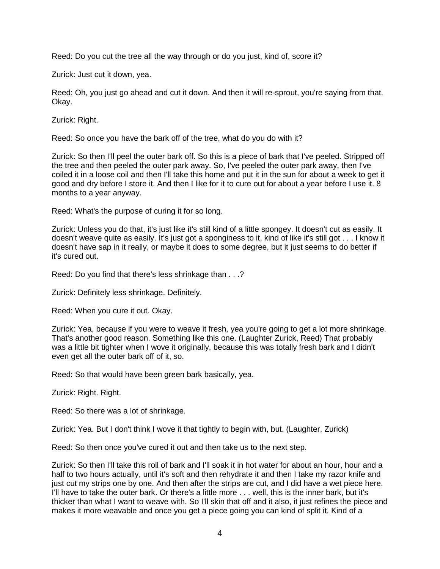Reed: Do you cut the tree all the way through or do you just, kind of, score it?

Zurick: Just cut it down, yea.

Reed: Oh, you just go ahead and cut it down. And then it will re-sprout, you're saying from that. Okay.

Zurick: Right.

Reed: So once you have the bark off of the tree, what do you do with it?

Zurick: So then I'll peel the outer bark off. So this is a piece of bark that I've peeled. Stripped off the tree and then peeled the outer park away. So, I've peeled the outer park away, then I've coiled it in a loose coil and then I'll take this home and put it in the sun for about a week to get it good and dry before I store it. And then I like for it to cure out for about a year before I use it. 8 months to a year anyway.

Reed: What's the purpose of curing it for so long.

Zurick: Unless you do that, it's just like it's still kind of a little spongey. It doesn't cut as easily. It doesn't weave quite as easily. It's just got a sponginess to it, kind of like it's still got . . . I know it doesn't have sap in it really, or maybe it does to some degree, but it just seems to do better if it's cured out.

Reed: Do you find that there's less shrinkage than . . .?

Zurick: Definitely less shrinkage. Definitely.

Reed: When you cure it out. Okay.

Zurick: Yea, because if you were to weave it fresh, yea you're going to get a lot more shrinkage. That's another good reason. Something like this one. (Laughter Zurick, Reed) That probably was a little bit tighter when I wove it originally, because this was totally fresh bark and I didn't even get all the outer bark off of it, so.

Reed: So that would have been green bark basically, yea.

Zurick: Right. Right.

Reed: So there was a lot of shrinkage.

Zurick: Yea. But I don't think I wove it that tightly to begin with, but. (Laughter, Zurick)

Reed: So then once you've cured it out and then take us to the next step.

Zurick: So then I'll take this roll of bark and I'll soak it in hot water for about an hour, hour and a half to two hours actually, until it's soft and then rehydrate it and then I take my razor knife and just cut my strips one by one. And then after the strips are cut, and I did have a wet piece here. I'll have to take the outer bark. Or there's a little more . . . well, this is the inner bark, but it's thicker than what I want to weave with. So I'll skin that off and it also, it just refines the piece and makes it more weavable and once you get a piece going you can kind of split it. Kind of a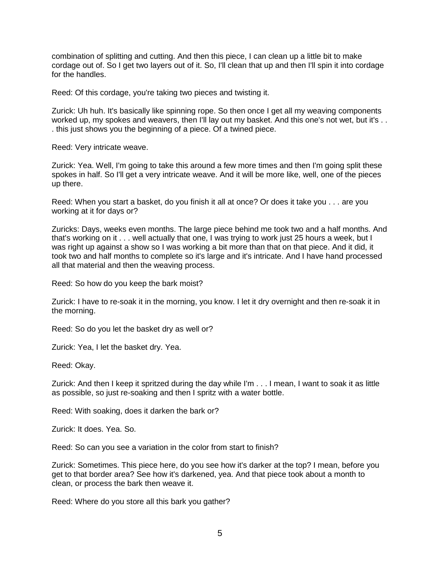combination of splitting and cutting. And then this piece, I can clean up a little bit to make cordage out of. So I get two layers out of it. So, I'll clean that up and then I'll spin it into cordage for the handles.

Reed: Of this cordage, you're taking two pieces and twisting it.

Zurick: Uh huh. It's basically like spinning rope. So then once I get all my weaving components worked up, my spokes and weavers, then I'll lay out my basket. And this one's not wet, but it's . . . this just shows you the beginning of a piece. Of a twined piece.

Reed: Very intricate weave.

Zurick: Yea. Well, I'm going to take this around a few more times and then I'm going split these spokes in half. So I'll get a very intricate weave. And it will be more like, well, one of the pieces up there.

Reed: When you start a basket, do you finish it all at once? Or does it take you . . . are you working at it for days or?

Zuricks: Days, weeks even months. The large piece behind me took two and a half months. And that's working on it . . . well actually that one, I was trying to work just 25 hours a week, but I was right up against a show so I was working a bit more than that on that piece. And it did, it took two and half months to complete so it's large and it's intricate. And I have hand processed all that material and then the weaving process.

Reed: So how do you keep the bark moist?

Zurick: I have to re-soak it in the morning, you know. I let it dry overnight and then re-soak it in the morning.

Reed: So do you let the basket dry as well or?

Zurick: Yea, I let the basket dry. Yea.

Reed: Okay.

Zurick: And then I keep it spritzed during the day while I'm . . . I mean, I want to soak it as little as possible, so just re-soaking and then I spritz with a water bottle.

Reed: With soaking, does it darken the bark or?

Zurick: It does. Yea. So.

Reed: So can you see a variation in the color from start to finish?

Zurick: Sometimes. This piece here, do you see how it's darker at the top? I mean, before you get to that border area? See how it's darkened, yea. And that piece took about a month to clean, or process the bark then weave it.

Reed: Where do you store all this bark you gather?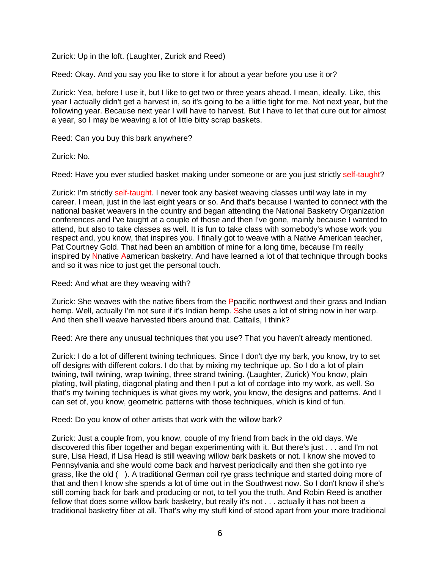Zurick: Up in the loft. (Laughter, Zurick and Reed)

Reed: Okay. And you say you like to store it for about a year before you use it or?

Zurick: Yea, before I use it, but I like to get two or three years ahead. I mean, ideally. Like, this year I actually didn't get a harvest in, so it's going to be a little tight for me. Not next year, but the following year. Because next year I will have to harvest. But I have to let that cure out for almost a year, so I may be weaving a lot of little bitty scrap baskets.

Reed: Can you buy this bark anywhere?

Zurick: No.

Reed: Have you ever studied basket making under someone or are you just strictly self-taught?

Zurick: I'm strictly self-taught. I never took any basket weaving classes until way late in my career. I mean, just in the last eight years or so. And that's because I wanted to connect with the national basket weavers in the country and began attending the National Basketry Organization conferences and I've taught at a couple of those and then I've gone, mainly because I wanted to attend, but also to take classes as well. It is fun to take class with somebody's whose work you respect and, you know, that inspires you. I finally got to weave with a Native American teacher, Pat Courtney Gold. That had been an ambition of mine for a long time, because I'm really inspired by Nnative Aamerican basketry. And have learned a lot of that technique through books and so it was nice to just get the personal touch.

Reed: And what are they weaving with?

Zurick: She weaves with the native fibers from the Ppacific northwest and their grass and Indian hemp. Well, actually I'm not sure if it's Indian hemp. Sshe uses a lot of string now in her warp. And then she'll weave harvested fibers around that. Cattails, I think?

Reed: Are there any unusual techniques that you use? That you haven't already mentioned.

Zurick: I do a lot of different twining techniques. Since I don't dye my bark, you know, try to set off designs with different colors. I do that by mixing my technique up. So I do a lot of plain twining, twill twining, wrap twining, three strand twining. (Laughter, Zurick) You know, plain plating, twill plating, diagonal plating and then I put a lot of cordage into my work, as well. So that's my twining techniques is what gives my work, you know, the designs and patterns. And I can set of, you know, geometric patterns with those techniques, which is kind of fun.

Reed: Do you know of other artists that work with the willow bark?

Zurick: Just a couple from, you know, couple of my friend from back in the old days. We discovered this fiber together and began experimenting with it. But there's just . . . and I'm not sure, Lisa Head, if Lisa Head is still weaving willow bark baskets or not. I know she moved to Pennsylvania and she would come back and harvest periodically and then she got into rye grass, like the old ( ). A traditional German coil rye grass technique and started doing more of that and then I know she spends a lot of time out in the Southwest now. So I don't know if she's still coming back for bark and producing or not, to tell you the truth. And Robin Reed is another fellow that does some willow bark basketry, but really it's not . . . actually it has not been a traditional basketry fiber at all. That's why my stuff kind of stood apart from your more traditional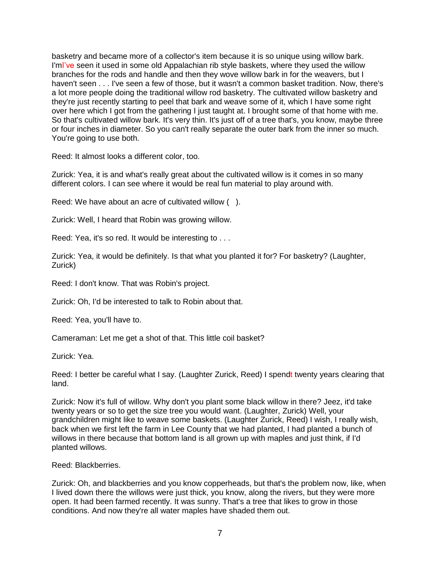basketry and became more of a collector's item because it is so unique using willow bark. I'mI've seen it used in some old Appalachian rib style baskets, where they used the willow branches for the rods and handle and then they wove willow bark in for the weavers, but I haven't seen . . . I've seen a few of those, but it wasn't a common basket tradition. Now, there's a lot more people doing the traditional willow rod basketry. The cultivated willow basketry and they're just recently starting to peel that bark and weave some of it, which I have some right over here which I got from the gathering I just taught at. I brought some of that home with me. So that's cultivated willow bark. It's very thin. It's just off of a tree that's, you know, maybe three or four inches in diameter. So you can't really separate the outer bark from the inner so much. You're going to use both.

Reed: It almost looks a different color, too.

Zurick: Yea, it is and what's really great about the cultivated willow is it comes in so many different colors. I can see where it would be real fun material to play around with.

Reed: We have about an acre of cultivated willow ( ).

Zurick: Well, I heard that Robin was growing willow.

Reed: Yea, it's so red. It would be interesting to . . .

Zurick: Yea, it would be definitely. Is that what you planted it for? For basketry? (Laughter, Zurick)

Reed: I don't know. That was Robin's project.

Zurick: Oh, I'd be interested to talk to Robin about that.

Reed: Yea, you'll have to.

Cameraman: Let me get a shot of that. This little coil basket?

Zurick: Yea.

Reed: I better be careful what I say. (Laughter Zurick, Reed) I spendt twenty years clearing that land.

Zurick: Now it's full of willow. Why don't you plant some black willow in there? Jeez, it'd take twenty years or so to get the size tree you would want. (Laughter, Zurick) Well, your grandchildren might like to weave some baskets. (Laughter Zurick, Reed) I wish, I really wish, back when we first left the farm in Lee County that we had planted, I had planted a bunch of willows in there because that bottom land is all grown up with maples and just think, if I'd planted willows.

Reed: Blackberries.

Zurick: Oh, and blackberries and you know copperheads, but that's the problem now, like, when I lived down there the willows were just thick, you know, along the rivers, but they were more open. It had been farmed recently. It was sunny. That's a tree that likes to grow in those conditions. And now they're all water maples have shaded them out.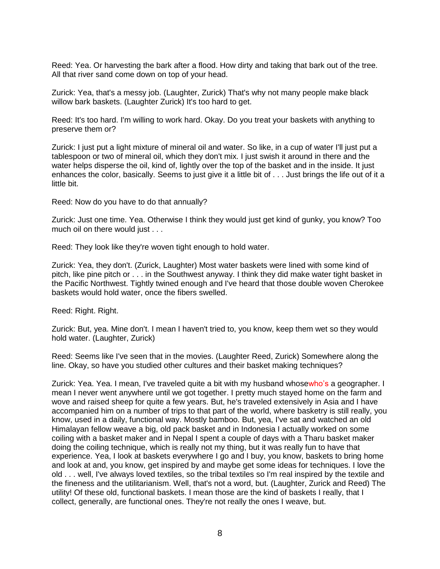Reed: Yea. Or harvesting the bark after a flood. How dirty and taking that bark out of the tree. All that river sand come down on top of your head.

Zurick: Yea, that's a messy job. (Laughter, Zurick) That's why not many people make black willow bark baskets. (Laughter Zurick) It's too hard to get.

Reed: It's too hard. I'm willing to work hard. Okay. Do you treat your baskets with anything to preserve them or?

Zurick: I just put a light mixture of mineral oil and water. So like, in a cup of water I'll just put a tablespoon or two of mineral oil, which they don't mix. I just swish it around in there and the water helps disperse the oil, kind of, lightly over the top of the basket and in the inside. It just enhances the color, basically. Seems to just give it a little bit of . . . Just brings the life out of it a little bit.

Reed: Now do you have to do that annually?

Zurick: Just one time. Yea. Otherwise I think they would just get kind of gunky, you know? Too much oil on there would just . . .

Reed: They look like they're woven tight enough to hold water.

Zurick: Yea, they don't. (Zurick, Laughter) Most water baskets were lined with some kind of pitch, like pine pitch or . . . in the Southwest anyway. I think they did make water tight basket in the Pacific Northwest. Tightly twined enough and I've heard that those double woven Cherokee baskets would hold water, once the fibers swelled.

Reed: Right. Right.

Zurick: But, yea. Mine don't. I mean I haven't tried to, you know, keep them wet so they would hold water. (Laughter, Zurick)

Reed: Seems like I've seen that in the movies. (Laughter Reed, Zurick) Somewhere along the line. Okay, so have you studied other cultures and their basket making techniques?

Zurick: Yea. Yea. I mean, I've traveled quite a bit with my husband whosewho's a geographer. I mean I never went anywhere until we got together. I pretty much stayed home on the farm and wove and raised sheep for quite a few years. But, he's traveled extensively in Asia and I have accompanied him on a number of trips to that part of the world, where basketry is still really, you know, used in a daily, functional way. Mostly bamboo. But, yea, I've sat and watched an old Himalayan fellow weave a big, old pack basket and in Indonesia I actually worked on some coiling with a basket maker and in Nepal I spent a couple of days with a Tharu basket maker doing the coiling technique, which is really not my thing, but it was really fun to have that experience. Yea, I look at baskets everywhere I go and I buy, you know, baskets to bring home and look at and, you know, get inspired by and maybe get some ideas for techniques. I love the old . . . well, I've always loved textiles, so the tribal textiles so I'm real inspired by the textile and the fineness and the utilitarianism. Well, that's not a word, but. (Laughter, Zurick and Reed) The utility! Of these old, functional baskets. I mean those are the kind of baskets I really, that I collect, generally, are functional ones. They're not really the ones I weave, but.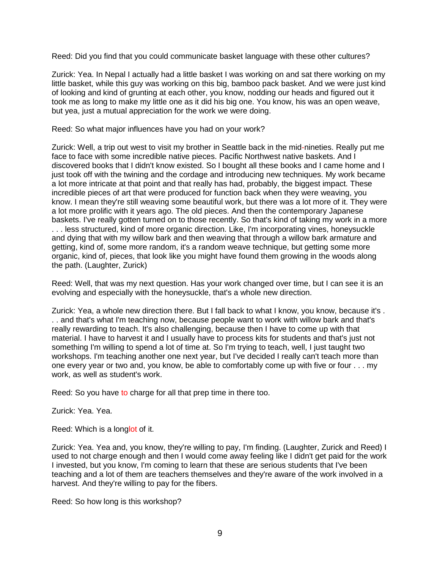Reed: Did you find that you could communicate basket language with these other cultures?

Zurick: Yea. In Nepal I actually had a little basket I was working on and sat there working on my little basket, while this guy was working on this big, bamboo pack basket. And we were just kind of looking and kind of grunting at each other, you know, nodding our heads and figured out it took me as long to make my little one as it did his big one. You know, his was an open weave, but yea, just a mutual appreciation for the work we were doing.

Reed: So what major influences have you had on your work?

Zurick: Well, a trip out west to visit my brother in Seattle back in the mid-nineties. Really put me face to face with some incredible native pieces. Pacific Northwest native baskets. And I discovered books that I didn't know existed. So I bought all these books and I came home and I just took off with the twining and the cordage and introducing new techniques. My work became a lot more intricate at that point and that really has had, probably, the biggest impact. These incredible pieces of art that were produced for function back when they were weaving, you know. I mean they're still weaving some beautiful work, but there was a lot more of it. They were a lot more prolific with it years ago. The old pieces. And then the contemporary Japanese baskets. I've really gotten turned on to those recently. So that's kind of taking my work in a more . . . less structured, kind of more organic direction. Like, I'm incorporating vines, honeysuckle and dying that with my willow bark and then weaving that through a willow bark armature and getting, kind of, some more random, it's a random weave technique, but getting some more organic, kind of, pieces, that look like you might have found them growing in the woods along the path. (Laughter, Zurick)

Reed: Well, that was my next question. Has your work changed over time, but I can see it is an evolving and especially with the honeysuckle, that's a whole new direction.

Zurick: Yea, a whole new direction there. But I fall back to what I know, you know, because it's . . . and that's what I'm teaching now, because people want to work with willow bark and that's really rewarding to teach. It's also challenging, because then I have to come up with that material. I have to harvest it and I usually have to process kits for students and that's just not something I'm willing to spend a lot of time at. So I'm trying to teach, well, I just taught two workshops. I'm teaching another one next year, but I've decided I really can't teach more than one every year or two and, you know, be able to comfortably come up with five or four . . . my work, as well as student's work.

Reed: So you have to charge for all that prep time in there too.

Zurick: Yea. Yea.

Reed: Which is a longlot of it.

Zurick: Yea. Yea and, you know, they're willing to pay, I'm finding. (Laughter, Zurick and Reed) I used to not charge enough and then I would come away feeling like I didn't get paid for the work I invested, but you know, I'm coming to learn that these are serious students that I've been teaching and a lot of them are teachers themselves and they're aware of the work involved in a harvest. And they're willing to pay for the fibers.

Reed: So how long is this workshop?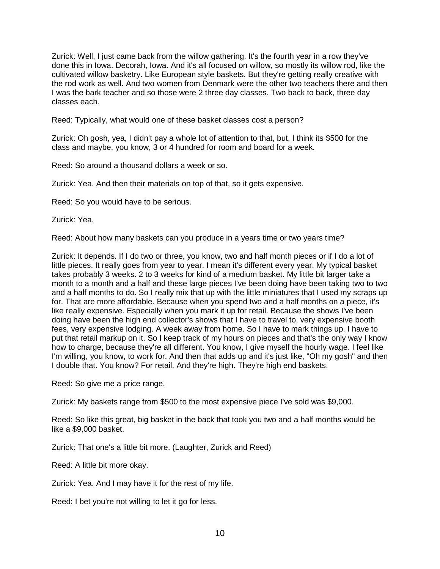Zurick: Well, I just came back from the willow gathering. It's the fourth year in a row they've done this in Iowa. Decorah, Iowa. And it's all focused on willow, so mostly its willow rod, like the cultivated willow basketry. Like European style baskets. But they're getting really creative with the rod work as well. And two women from Denmark were the other two teachers there and then I was the bark teacher and so those were 2 three day classes. Two back to back, three day classes each.

Reed: Typically, what would one of these basket classes cost a person?

Zurick: Oh gosh, yea, I didn't pay a whole lot of attention to that, but, I think its \$500 for the class and maybe, you know, 3 or 4 hundred for room and board for a week.

Reed: So around a thousand dollars a week or so.

Zurick: Yea. And then their materials on top of that, so it gets expensive.

Reed: So you would have to be serious.

Zurick: Yea.

Reed: About how many baskets can you produce in a years time or two years time?

Zurick: It depends. If I do two or three, you know, two and half month pieces or if I do a lot of little pieces. It really goes from year to year. I mean it's different every year. My typical basket takes probably 3 weeks. 2 to 3 weeks for kind of a medium basket. My little bit larger take a month to a month and a half and these large pieces I've been doing have been taking two to two and a half months to do. So I really mix that up with the little miniatures that I used my scraps up for. That are more affordable. Because when you spend two and a half months on a piece, it's like really expensive. Especially when you mark it up for retail. Because the shows I've been doing have been the high end collector's shows that I have to travel to, very expensive booth fees, very expensive lodging. A week away from home. So I have to mark things up. I have to put that retail markup on it. So I keep track of my hours on pieces and that's the only way I know how to charge, because they're all different. You know, I give myself the hourly wage. I feel like I'm willing, you know, to work for. And then that adds up and it's just like, "Oh my gosh" and then I double that. You know? For retail. And they're high. They're high end baskets.

Reed: So give me a price range.

Zurick: My baskets range from \$500 to the most expensive piece I've sold was \$9,000.

Reed: So like this great, big basket in the back that took you two and a half months would be like a \$9,000 basket.

Zurick: That one's a little bit more. (Laughter, Zurick and Reed)

Reed: A little bit more okay.

Zurick: Yea. And I may have it for the rest of my life.

Reed: I bet you're not willing to let it go for less.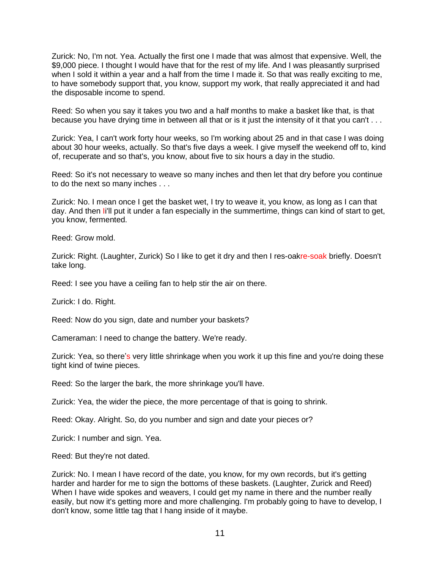Zurick: No, I'm not. Yea. Actually the first one I made that was almost that expensive. Well, the \$9,000 piece. I thought I would have that for the rest of my life. And I was pleasantly surprised when I sold it within a year and a half from the time I made it. So that was really exciting to me, to have somebody support that, you know, support my work, that really appreciated it and had the disposable income to spend.

Reed: So when you say it takes you two and a half months to make a basket like that, is that because you have drying time in between all that or is it just the intensity of it that you can't . . .

Zurick: Yea, I can't work forty hour weeks, so I'm working about 25 and in that case I was doing about 30 hour weeks, actually. So that's five days a week. I give myself the weekend off to, kind of, recuperate and so that's, you know, about five to six hours a day in the studio.

Reed: So it's not necessary to weave so many inches and then let that dry before you continue to do the next so many inches . . .

Zurick: No. I mean once I get the basket wet, I try to weave it, you know, as long as I can that day. And then Ii'll put it under a fan especially in the summertime, things can kind of start to get, you know, fermented.

Reed: Grow mold.

Zurick: Right. (Laughter, Zurick) So I like to get it dry and then I res-oakre-soak briefly. Doesn't take long.

Reed: I see you have a ceiling fan to help stir the air on there.

Zurick: I do. Right.

Reed: Now do you sign, date and number your baskets?

Cameraman: I need to change the battery. We're ready.

Zurick: Yea, so there's very little shrinkage when you work it up this fine and you're doing these tight kind of twine pieces.

Reed: So the larger the bark, the more shrinkage you'll have.

Zurick: Yea, the wider the piece, the more percentage of that is going to shrink.

Reed: Okay. Alright. So, do you number and sign and date your pieces or?

Zurick: I number and sign. Yea.

Reed: But they're not dated.

Zurick: No. I mean I have record of the date, you know, for my own records, but it's getting harder and harder for me to sign the bottoms of these baskets. (Laughter, Zurick and Reed) When I have wide spokes and weavers, I could get my name in there and the number really easily, but now it's getting more and more challenging. I'm probably going to have to develop, I don't know, some little tag that I hang inside of it maybe.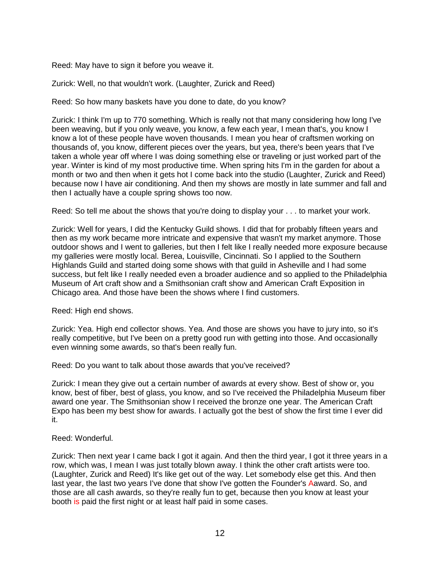Reed: May have to sign it before you weave it.

Zurick: Well, no that wouldn't work. (Laughter, Zurick and Reed)

Reed: So how many baskets have you done to date, do you know?

Zurick: I think I'm up to 770 something. Which is really not that many considering how long I've been weaving, but if you only weave, you know, a few each year, I mean that's, you know I know a lot of these people have woven thousands. I mean you hear of craftsmen working on thousands of, you know, different pieces over the years, but yea, there's been years that I've taken a whole year off where I was doing something else or traveling or just worked part of the year. Winter is kind of my most productive time. When spring hits I'm in the garden for about a month or two and then when it gets hot I come back into the studio (Laughter, Zurick and Reed) because now I have air conditioning. And then my shows are mostly in late summer and fall and then I actually have a couple spring shows too now.

Reed: So tell me about the shows that you're doing to display your . . . to market your work.

Zurick: Well for years, I did the Kentucky Guild shows. I did that for probably fifteen years and then as my work became more intricate and expensive that wasn't my market anymore. Those outdoor shows and I went to galleries, but then I felt like I really needed more exposure because my galleries were mostly local. Berea, Louisville, Cincinnati. So I applied to the Southern Highlands Guild and started doing some shows with that guild in Asheville and I had some success, but felt like I really needed even a broader audience and so applied to the Philadelphia Museum of Art craft show and a Smithsonian craft show and American Craft Exposition in Chicago area. And those have been the shows where I find customers.

Reed: High end shows.

Zurick: Yea. High end collector shows. Yea. And those are shows you have to jury into, so it's really competitive, but I've been on a pretty good run with getting into those. And occasionally even winning some awards, so that's been really fun.

Reed: Do you want to talk about those awards that you've received?

Zurick: I mean they give out a certain number of awards at every show. Best of show or, you know, best of fiber, best of glass, you know, and so I've received the Philadelphia Museum fiber award one year. The Smithsonian show I received the bronze one year. The American Craft Expo has been my best show for awards. I actually got the best of show the first time I ever did it.

# Reed: Wonderful.

Zurick: Then next year I came back I got it again. And then the third year, I got it three years in a row, which was, I mean I was just totally blown away. I think the other craft artists were too. (Laughter, Zurick and Reed) It's like get out of the way. Let somebody else get this. And then last year, the last two years I've done that show I've gotten the Founder's Aaward. So, and those are all cash awards, so they're really fun to get, because then you know at least your booth is paid the first night or at least half paid in some cases.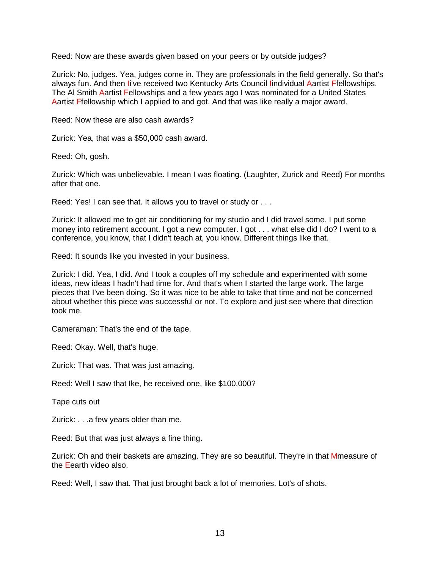Reed: Now are these awards given based on your peers or by outside judges?

Zurick: No, judges. Yea, judges come in. They are professionals in the field generally. So that's always fun. And then Ii've received two Kentucky Arts Council lindividual Aartist Ffellowships. The Al Smith Aartist Fellowships and a few years ago I was nominated for a United States Aartist Ffellowship which I applied to and got. And that was like really a major award.

Reed: Now these are also cash awards?

Zurick: Yea, that was a \$50,000 cash award.

Reed: Oh, gosh.

Zurick: Which was unbelievable. I mean I was floating. (Laughter, Zurick and Reed) For months after that one.

Reed: Yes! I can see that. It allows you to travel or study or . . .

Zurick: It allowed me to get air conditioning for my studio and I did travel some. I put some money into retirement account. I got a new computer. I got . . . what else did I do? I went to a conference, you know, that I didn't teach at, you know. Different things like that.

Reed: It sounds like you invested in your business.

Zurick: I did. Yea, I did. And I took a couples off my schedule and experimented with some ideas, new ideas I hadn't had time for. And that's when I started the large work. The large pieces that I've been doing. So it was nice to be able to take that time and not be concerned about whether this piece was successful or not. To explore and just see where that direction took me.

Cameraman: That's the end of the tape.

Reed: Okay. Well, that's huge.

Zurick: That was. That was just amazing.

Reed: Well I saw that Ike, he received one, like \$100,000?

Tape cuts out

Zurick: . . .a few years older than me.

Reed: But that was just always a fine thing.

Zurick: Oh and their baskets are amazing. They are so beautiful. They're in that Mmeasure of the Eearth video also.

Reed: Well, I saw that. That just brought back a lot of memories. Lot's of shots.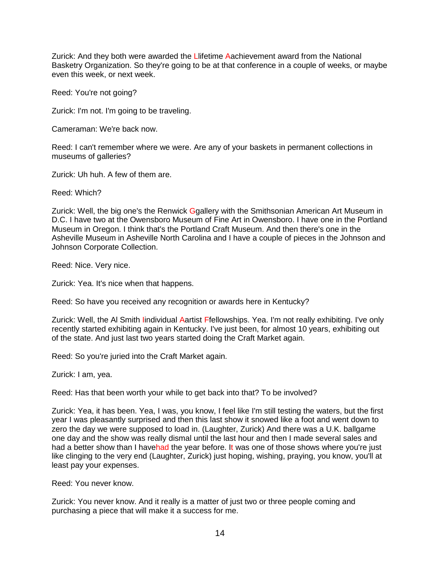Zurick: And they both were awarded the Llifetime Aachievement award from the National Basketry Organization. So they're going to be at that conference in a couple of weeks, or maybe even this week, or next week.

Reed: You're not going?

Zurick: I'm not. I'm going to be traveling.

Cameraman: We're back now.

Reed: I can't remember where we were. Are any of your baskets in permanent collections in museums of galleries?

Zurick: Uh huh. A few of them are.

Reed: Which?

Zurick: Well, the big one's the Renwick Ggallery with the Smithsonian American Art Museum in D.C. I have two at the Owensboro Museum of Fine Art in Owensboro. I have one in the Portland Museum in Oregon. I think that's the Portland Craft Museum. And then there's one in the Asheville Museum in Asheville North Carolina and I have a couple of pieces in the Johnson and Johnson Corporate Collection.

Reed: Nice. Very nice.

Zurick: Yea. It's nice when that happens.

Reed: So have you received any recognition or awards here in Kentucky?

Zurick: Well, the Al Smith Iindividual Aartist Ffellowships. Yea. I'm not really exhibiting. I've only recently started exhibiting again in Kentucky. I've just been, for almost 10 years, exhibiting out of the state. And just last two years started doing the Craft Market again.

Reed: So you're juried into the Craft Market again.

Zurick: I am, yea.

Reed: Has that been worth your while to get back into that? To be involved?

Zurick: Yea, it has been. Yea, I was, you know, I feel like I'm still testing the waters, but the first year I was pleasantly surprised and then this last show it snowed like a foot and went down to zero the day we were supposed to load in. (Laughter, Zurick) And there was a U.K. ballgame one day and the show was really dismal until the last hour and then I made several sales and had a better show than I havehad the year before. It was one of those shows where you're just like clinging to the very end (Laughter, Zurick) just hoping, wishing, praying, you know, you'll at least pay your expenses.

Reed: You never know.

Zurick: You never know. And it really is a matter of just two or three people coming and purchasing a piece that will make it a success for me.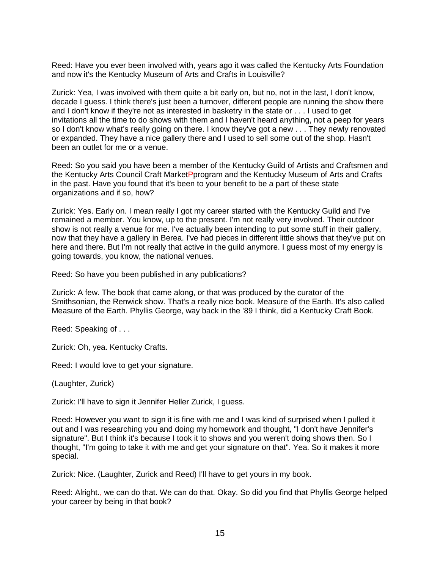Reed: Have you ever been involved with, years ago it was called the Kentucky Arts Foundation and now it's the Kentucky Museum of Arts and Crafts in Louisville?

Zurick: Yea, I was involved with them quite a bit early on, but no, not in the last, I don't know, decade I guess. I think there's just been a turnover, different people are running the show there and I don't know if they're not as interested in basketry in the state or . . . I used to get invitations all the time to do shows with them and I haven't heard anything, not a peep for years so I don't know what's really going on there. I know they've got a new . . . They newly renovated or expanded. They have a nice gallery there and I used to sell some out of the shop. Hasn't been an outlet for me or a venue.

Reed: So you said you have been a member of the Kentucky Guild of Artists and Craftsmen and the Kentucky Arts Council Craft MarketPprogram and the Kentucky Museum of Arts and Crafts in the past. Have you found that it's been to your benefit to be a part of these state organizations and if so, how?

Zurick: Yes. Early on. I mean really I got my career started with the Kentucky Guild and I've remained a member. You know, up to the present. I'm not really very involved. Their outdoor show is not really a venue for me. I've actually been intending to put some stuff in their gallery, now that they have a gallery in Berea. I've had pieces in different little shows that they've put on here and there. But I'm not really that active in the guild anymore. I guess most of my energy is going towards, you know, the national venues.

Reed: So have you been published in any publications?

Zurick: A few. The book that came along, or that was produced by the curator of the Smithsonian, the Renwick show. That's a really nice book. Measure of the Earth. It's also called Measure of the Earth. Phyllis George, way back in the '89 I think, did a Kentucky Craft Book.

Reed: Speaking of . . .

Zurick: Oh, yea. Kentucky Crafts.

Reed: I would love to get your signature.

(Laughter, Zurick)

Zurick: I'll have to sign it Jennifer Heller Zurick, I guess.

Reed: However you want to sign it is fine with me and I was kind of surprised when I pulled it out and I was researching you and doing my homework and thought, "I don't have Jennifer's signature". But I think it's because I took it to shows and you weren't doing shows then. So I thought, "I'm going to take it with me and get your signature on that". Yea. So it makes it more special.

Zurick: Nice. (Laughter, Zurick and Reed) I'll have to get yours in my book.

Reed: Alright., we can do that. We can do that. Okay. So did you find that Phyllis George helped your career by being in that book?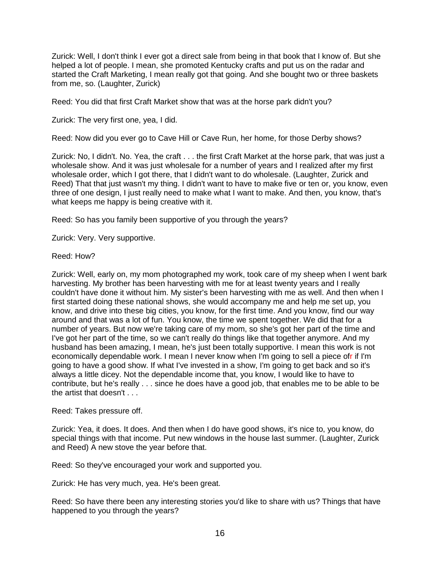Zurick: Well, I don't think I ever got a direct sale from being in that book that I know of. But she helped a lot of people. I mean, she promoted Kentucky crafts and put us on the radar and started the Craft Marketing, I mean really got that going. And she bought two or three baskets from me, so. (Laughter, Zurick)

Reed: You did that first Craft Market show that was at the horse park didn't you?

Zurick: The very first one, yea, I did.

Reed: Now did you ever go to Cave Hill or Cave Run, her home, for those Derby shows?

Zurick: No, I didn't. No. Yea, the craft . . . the first Craft Market at the horse park, that was just a wholesale show. And it was just wholesale for a number of years and I realized after my first wholesale order, which I got there, that I didn't want to do wholesale. (Laughter, Zurick and Reed) That that just wasn't my thing. I didn't want to have to make five or ten or, you know, even three of one design, I just really need to make what I want to make. And then, you know, that's what keeps me happy is being creative with it.

Reed: So has you family been supportive of you through the years?

Zurick: Very. Very supportive.

Reed: How?

Zurick: Well, early on, my mom photographed my work, took care of my sheep when I went bark harvesting. My brother has been harvesting with me for at least twenty years and I really couldn't have done it without him. My sister's been harvesting with me as well. And then when I first started doing these national shows, she would accompany me and help me set up, you know, and drive into these big cities, you know, for the first time. And you know, find our way around and that was a lot of fun. You know, the time we spent together. We did that for a number of years. But now we're taking care of my mom, so she's got her part of the time and I've got her part of the time, so we can't really do things like that together anymore. And my husband has been amazing, I mean, he's just been totally supportive. I mean this work is not economically dependable work. I mean I never know when I'm going to sell a piece ofr if I'm going to have a good show. If what I've invested in a show, I'm going to get back and so it's always a little dicey. Not the dependable income that, you know, I would like to have to contribute, but he's really . . . since he does have a good job, that enables me to be able to be the artist that doesn't . . .

Reed: Takes pressure off.

Zurick: Yea, it does. It does. And then when I do have good shows, it's nice to, you know, do special things with that income. Put new windows in the house last summer. (Laughter, Zurick and Reed) A new stove the year before that.

Reed: So they've encouraged your work and supported you.

Zurick: He has very much, yea. He's been great.

Reed: So have there been any interesting stories you'd like to share with us? Things that have happened to you through the years?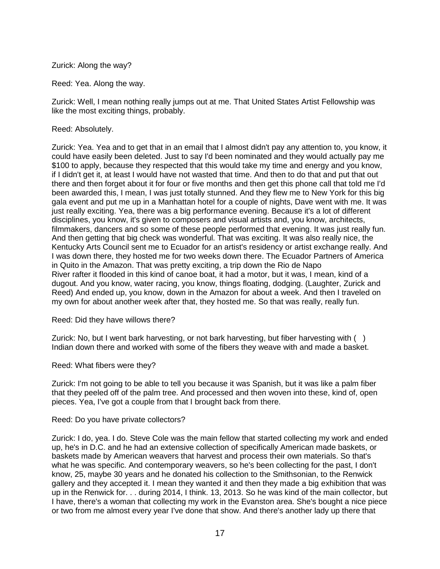# Zurick: Along the way?

Reed: Yea. Along the way.

Zurick: Well, I mean nothing really jumps out at me. That United States Artist Fellowship was like the most exciting things, probably.

## Reed: Absolutely.

Zurick: Yea. Yea and to get that in an email that I almost didn't pay any attention to, you know, it could have easily been deleted. Just to say I'd been nominated and they would actually pay me \$100 to apply, because they respected that this would take my time and energy and you know, if I didn't get it, at least I would have not wasted that time. And then to do that and put that out there and then forget about it for four or five months and then get this phone call that told me I'd been awarded this, I mean, I was just totally stunned. And they flew me to New York for this big gala event and put me up in a Manhattan hotel for a couple of nights, Dave went with me. It was just really exciting. Yea, there was a big performance evening. Because it's a lot of different disciplines, you know, it's given to composers and visual artists and, you know, architects, filmmakers, dancers and so some of these people performed that evening. It was just really fun. And then getting that big check was wonderful. That was exciting. It was also really nice, the Kentucky Arts Council sent me to Ecuador for an artist's residency or artist exchange really. And I was down there, they hosted me for two weeks down there. The Ecuador Partners of America in Quito in the Amazon. That was pretty exciting, a trip down the Rio de Napo River rafter it flooded in this kind of canoe boat, it had a motor, but it was, I mean, kind of a dugout. And you know, water racing, you know, things floating, dodging. (Laughter, Zurick and Reed) And ended up, you know, down in the Amazon for about a week. And then I traveled on my own for about another week after that, they hosted me. So that was really, really fun.

### Reed: Did they have willows there?

Zurick: No, but I went bark harvesting, or not bark harvesting, but fiber harvesting with ( ) Indian down there and worked with some of the fibers they weave with and made a basket.

Reed: What fibers were they?

Zurick: I'm not going to be able to tell you because it was Spanish, but it was like a palm fiber that they peeled off of the palm tree. And processed and then woven into these, kind of, open pieces. Yea, I've got a couple from that I brought back from there.

### Reed: Do you have private collectors?

Zurick: I do, yea. I do. Steve Cole was the main fellow that started collecting my work and ended up, he's in D.C. and he had an extensive collection of specifically American made baskets, or baskets made by American weavers that harvest and process their own materials. So that's what he was specific. And contemporary weavers, so he's been collecting for the past, I don't know, 25, maybe 30 years and he donated his collection to the Smithsonian, to the Renwick gallery and they accepted it. I mean they wanted it and then they made a big exhibition that was up in the Renwick for. . . during 2014, I think. 13, 2013. So he was kind of the main collector, but I have, there's a woman that collecting my work in the Evanston area. She's bought a nice piece or two from me almost every year I've done that show. And there's another lady up there that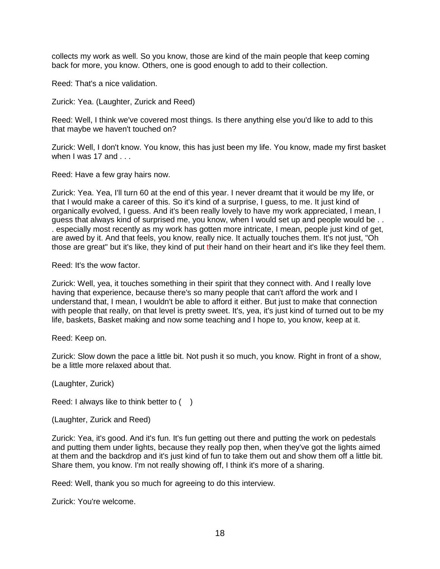collects my work as well. So you know, those are kind of the main people that keep coming back for more, you know. Others, one is good enough to add to their collection.

Reed: That's a nice validation.

Zurick: Yea. (Laughter, Zurick and Reed)

Reed: Well, I think we've covered most things. Is there anything else you'd like to add to this that maybe we haven't touched on?

Zurick: Well, I don't know. You know, this has just been my life. You know, made my first basket when I was  $17$  and  $\ldots$ 

Reed: Have a few gray hairs now.

Zurick: Yea. Yea, I'll turn 60 at the end of this year. I never dreamt that it would be my life, or that I would make a career of this. So it's kind of a surprise, I guess, to me. It just kind of organically evolved, I guess. And it's been really lovely to have my work appreciated, I mean, I guess that always kind of surprised me, you know, when I would set up and people would be . . . especially most recently as my work has gotten more intricate, I mean, people just kind of get, are awed by it. And that feels, you know, really nice. It actually touches them. It's not just, "Oh those are great" but it's like, they kind of put their hand on their heart and it's like they feel them.

Reed: It's the wow factor.

Zurick: Well, yea, it touches something in their spirit that they connect with. And I really love having that experience, because there's so many people that can't afford the work and I understand that, I mean, I wouldn't be able to afford it either. But just to make that connection with people that really, on that level is pretty sweet. It's, yea, it's just kind of turned out to be my life, baskets, Basket making and now some teaching and I hope to, you know, keep at it.

Reed: Keep on.

Zurick: Slow down the pace a little bit. Not push it so much, you know. Right in front of a show, be a little more relaxed about that.

(Laughter, Zurick)

Reed: I always like to think better to ()

(Laughter, Zurick and Reed)

Zurick: Yea, it's good. And it's fun. It's fun getting out there and putting the work on pedestals and putting them under lights, because they really pop then, when they've got the lights aimed at them and the backdrop and it's just kind of fun to take them out and show them off a little bit. Share them, you know. I'm not really showing off, I think it's more of a sharing.

Reed: Well, thank you so much for agreeing to do this interview.

Zurick: You're welcome.